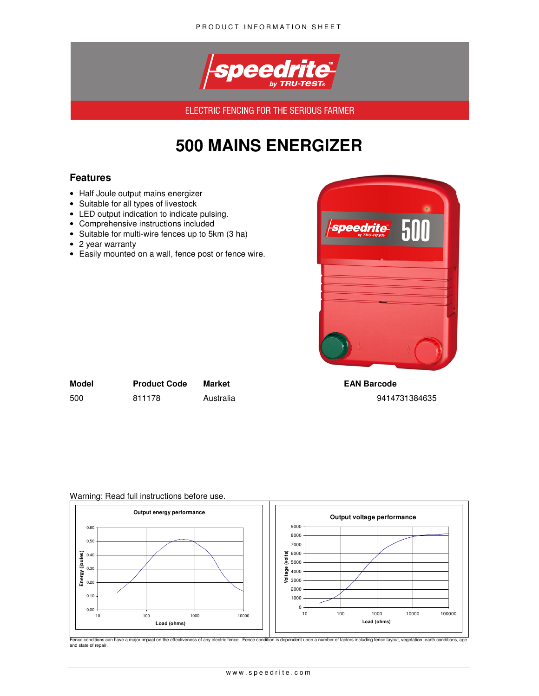

ELECTRIC FENCING FOR THE SERIOUS FARMER

# **500 MAINS ENERGIZER**

## **Features**

- Half Joule output mains energizer
- Suitable for all types of livestock
- LED output indication to indicate pulsing.
- Comprehensive instructions included
- Suitable for multi-wire fences up to 5km (3 ha)
- 2 year warranty
- Easily mounted on a wall, fence post or fence wire.



| Model | <b>Product Code</b> | Market    |
|-------|---------------------|-----------|
| 500   | 811178              | Australia |

**EAN Barcode** 500 811178 Australia 9414731384635

#### Warning: Read full instructions before use.



Fence conditions can have a major impact on the effectiveness of any electric fence. Fence condition is dependent upon a number of factors including fence layout, vegetation, earth conditions, age and state of repair.